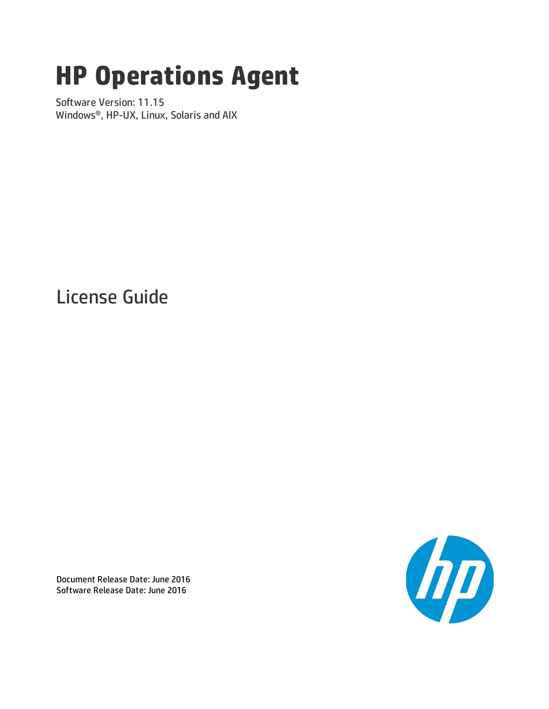# **HP Operations Agent**

Software Version: 11.15 Windows®, HP-UX, Linux, Solaris and AIX

License Guide



Document Release Date: June 2016 Software Release Date: June 2016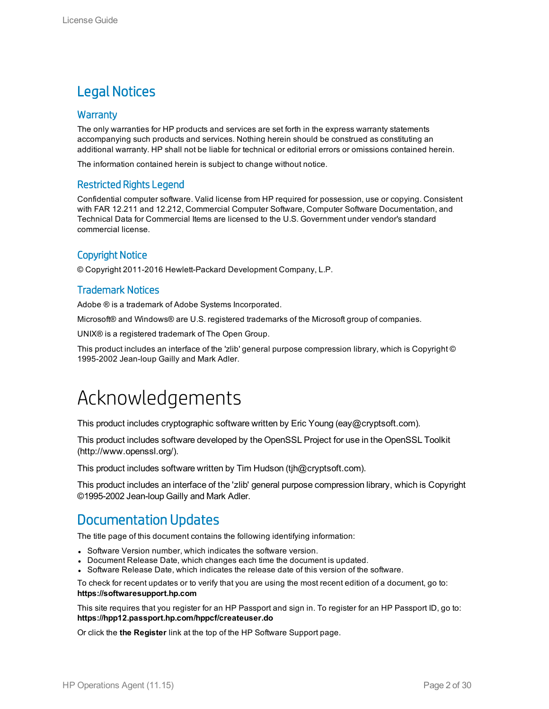### Legal Notices

### **Warranty**

The only warranties for HP products and services are set forth in the express warranty statements accompanying such products and services. Nothing herein should be construed as constituting an additional warranty. HP shall not be liable for technical or editorial errors or omissions contained herein.

The information contained herein is subject to change without notice.

### Restricted Rights Legend

Confidential computer software. Valid license from HP required for possession, use or copying. Consistent with FAR 12.211 and 12.212, Commercial Computer Software, Computer Software Documentation, and Technical Data for Commercial Items are licensed to the U.S. Government under vendor's standard commercial license.

### Copyright Notice

© Copyright 2011-2016 Hewlett-Packard Development Company, L.P.

### Trademark Notices

Adobe ® is a trademark of Adobe Systems Incorporated.

Microsoft® and Windows® are U.S. registered trademarks of the Microsoft group of companies.

UNIX® is a registered trademark of The Open Group.

This product includes an interface of the 'zlib' general purpose compression library, which is Copyright © 1995-2002 Jean-loup Gailly and Mark Adler.

## Acknowledgements

This product includes cryptographic software written by Eric Young (eay@cryptsoft.com).

This product includes software developed by the OpenSSL Project for use in the OpenSSL Toolkit (http://www.openssl.org/).

This product includes software written by Tim Hudson (tjh@cryptsoft.com).

This product includes an interface of the 'zlib' general purpose compression library, which is Copyright ©1995-2002 Jean-loup Gailly and Mark Adler.

### Documentation Updates

The title page of this document contains the following identifying information:

- Software Version number, which indicates the software version.
- Document Release Date, which changes each time the document is updated.
- Software Release Date, which indicates the release date of this version of the software.

To check for recent updates or to verify that you are using the most recent edition of a document, go to: **https://softwaresupport.hp.com**

This site requires that you register for an HP Passport and sign in. To register for an HP Passport ID, go to: **https://hpp12.passport.hp.com/hppcf/createuser.do**

Or click the **the Register** link at the top of the HP Software Support page.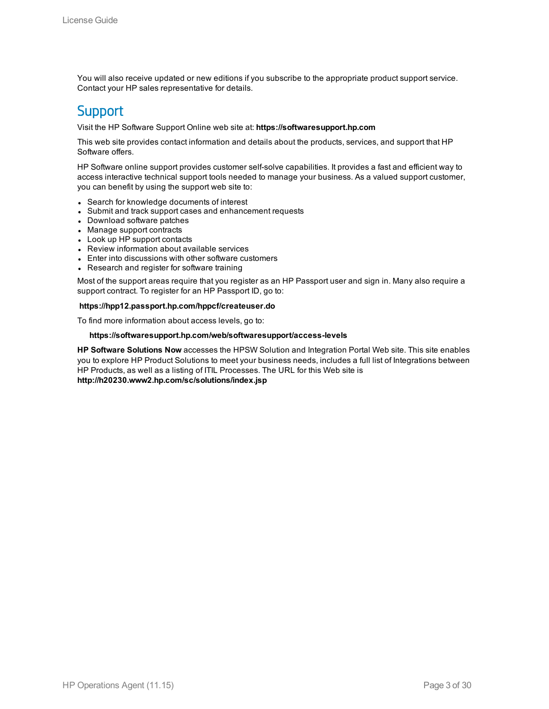You will also receive updated or new editions if you subscribe to the appropriate product support service. Contact your HP sales representative for details.

### **Support**

Visit the HP Software Support Online web site at: **https://softwaresupport.hp.com**

This web site provides contact information and details about the products, services, and support that HP Software offers.

HP Software online support provides customer self-solve capabilities. It provides a fast and efficient way to access interactive technical support tools needed to manage your business. As a valued support customer, you can benefit by using the support web site to:

- Search for knowledge documents of interest
- Submit and track support cases and enhancement requests
- Download software patches
- Manage support contracts
- Look up HP support contacts
- Review information about available services
- Enter into discussions with other software customers
- Research and register for software training

Most of the support areas require that you register as an HP Passport user and sign in. Many also require a support contract. To register for an HP Passport ID, go to:

#### **https://hpp12.passport.hp.com/hppcf/createuser.do**

To find more information about access levels, go to:

#### **https://softwaresupport.hp.com/web/softwaresupport/access-levels**

**HP Software Solutions Now** accesses the HPSW Solution and Integration Portal Web site. This site enables you to explore HP Product Solutions to meet your business needs, includes a full list of Integrations between HP Products, as well as a listing of ITIL Processes. The URL for this Web site is **http://h20230.www2.hp.com/sc/solutions/index.jsp**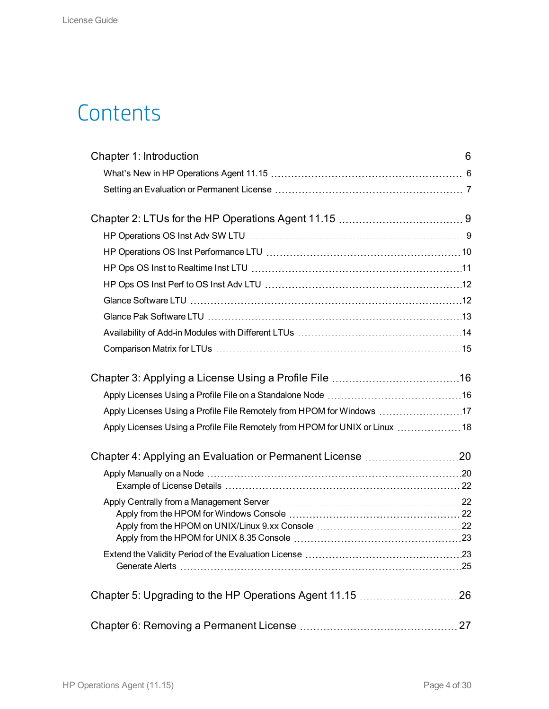## **Contents**

| Apply Licenses Using a Profile File Remotely from HPOM for Windows 17        |  |
|------------------------------------------------------------------------------|--|
| Apply Licenses Using a Profile File Remotely from HPOM for UNIX or Linux  18 |  |
|                                                                              |  |
|                                                                              |  |
|                                                                              |  |
|                                                                              |  |
|                                                                              |  |
|                                                                              |  |
|                                                                              |  |
|                                                                              |  |
|                                                                              |  |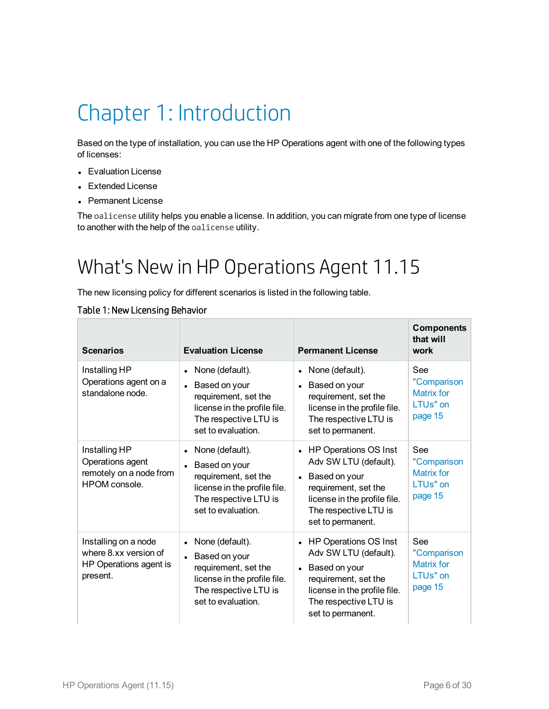## <span id="page-5-0"></span>Chapter 1: Introduction

Based on the type of installation, you can use the HP Operations agent with one of the following types of licenses:

- Evaluation License
- Extended License
- Permanent License

<span id="page-5-1"></span>The oalicense utility helps you enable a license. In addition, you can migrate from one type of license to another with the help of the oalicense utility.

## What's New in HP Operations Agent 11.15

The new licensing policy for different scenarios is listed in the following table.

### Table 1: New Licensing Behavior

| <b>Scenarios</b>                                                                    | <b>Evaluation License</b>                                                                                                                              | <b>Permanent License</b>                                                                                                                                                                        | <b>Components</b><br>that will<br>work                               |
|-------------------------------------------------------------------------------------|--------------------------------------------------------------------------------------------------------------------------------------------------------|-------------------------------------------------------------------------------------------------------------------------------------------------------------------------------------------------|----------------------------------------------------------------------|
| Installing HP<br>Operations agent on a<br>standalone node.                          | None (default).<br>$\bullet$<br>Based on your<br>requirement, set the<br>license in the profile file.<br>The respective LTU is<br>set to evaluation.   | None (default).<br>$\bullet$<br>Based on your<br>$\bullet$<br>requirement, set the<br>license in the profile file.<br>The respective LTU is<br>set to permanent.                                | See<br>"Comparison<br>Matrix for<br>LTUs" on<br>page 15              |
| Installing HP<br>Operations agent<br>remotely on a node from<br>HPOM console.       | None (default).<br>$\bullet$<br>Based on your<br>requirement, set the<br>license in the profile file.<br>The respective LTU is<br>set to evaluation.   | HP Operations OS Inst<br>$\bullet$<br>Adv SW LTU (default).<br>Based on your<br>$\bullet$<br>requirement, set the<br>license in the profile file.<br>The respective LTU is<br>set to permanent. | See<br>"Comparison<br>Matrix for<br>LTU <sub>s</sub> " on<br>page 15 |
| Installing on a node<br>where 8 xx version of<br>HP Operations agent is<br>present. | None (default).<br>$\bullet$<br>• Based on your<br>requirement, set the<br>license in the profile file.<br>The respective LTU is<br>set to evaluation. | HP Operations OS Inst<br>$\bullet$<br>Adv SW LTU (default).<br>Based on your<br>$\bullet$<br>requirement, set the<br>license in the profile file.<br>The respective LTU is<br>set to permanent. | See<br>"Comparison<br><b>Matrix for</b><br>LTUs" on<br>page 15       |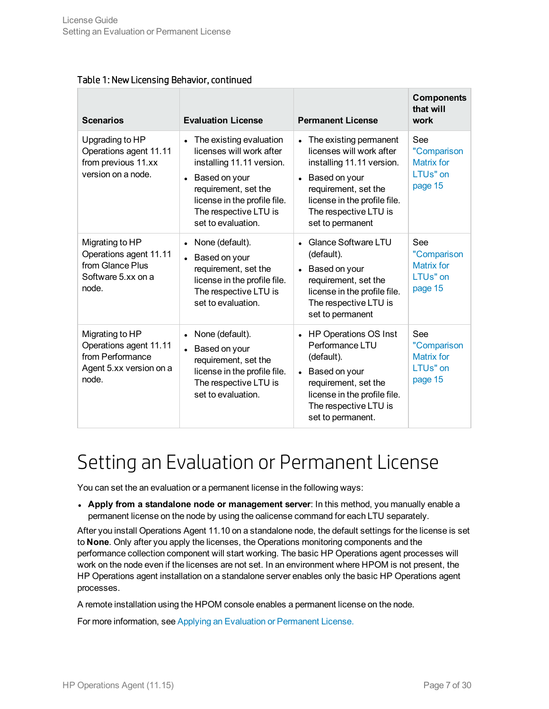| Table 1: New Licensing Behavior, continued |  |
|--------------------------------------------|--|
|--------------------------------------------|--|

| <b>Scenarios</b>                                                                                  | <b>Evaluation License</b>                                                                                                                                                                                                          | <b>Permanent License</b>                                                                                                                                                                                                        | <b>Components</b><br>that will<br>work                         |
|---------------------------------------------------------------------------------------------------|------------------------------------------------------------------------------------------------------------------------------------------------------------------------------------------------------------------------------------|---------------------------------------------------------------------------------------------------------------------------------------------------------------------------------------------------------------------------------|----------------------------------------------------------------|
| Upgrading to HP<br>Operations agent 11.11<br>from previous 11.xx<br>version on a node.            | The existing evaluation<br>$\bullet$<br>licenses will work after<br>installing 11.11 version.<br>Based on your<br>$\bullet$<br>requirement, set the<br>license in the profile file.<br>The respective LTU is<br>set to evaluation. | The existing permanent<br>$\bullet$<br>licenses will work after<br>installing 11.11 version.<br>Based on your<br>$\bullet$<br>requirement, set the<br>license in the profile file.<br>The respective LTU is<br>set to permanent | See<br>"Comparison<br><b>Matrix for</b><br>LTUs" on<br>page 15 |
| Migrating to HP<br>Operations agent 11.11<br>from Glance Plus<br>Software 5.xx on a<br>node.      | None (default).<br>$\bullet$<br>Based on your<br>requirement, set the<br>license in the profile file.<br>The respective LTU is<br>set to evaluation.                                                                               | <b>Glance Software LTU</b><br>(default).<br>Based on your<br>$\bullet$<br>requirement, set the<br>license in the profile file.<br>The respective LTU is<br>set to permanent                                                     | See<br>"Comparison<br><b>Matrix for</b><br>LTUs" on<br>page 15 |
| Migrating to HP<br>Operations agent 11.11<br>from Performance<br>Agent 5.xx version on a<br>node. | None (default).<br>$\bullet$<br>Based on your<br>requirement, set the<br>license in the profile file.<br>The respective LTU is<br>set to evaluation.                                                                               | HP Operations OS Inst<br>$\bullet$<br>Performance LTU<br>(default).<br>Based on your<br>$\bullet$<br>requirement, set the<br>license in the profile file.<br>The respective LTU is<br>set to permanent.                         | See<br>"Comparison<br>Matrix for<br>LTUs" on<br>page 15        |

## <span id="page-6-0"></span>Setting an Evaluation or Permanent License

You can set the an evaluation or a permanent license in the following ways:

<sup>l</sup> **Apply from a standalone node or management server**: In this method, you manually enable a permanent license on the node by using the oalicense command for each LTU separately.

After you install Operations Agent 11.10 on a standalone node, the default settings for the license is set to **None**. Only after you apply the licenses, the Operations monitoring components and the performance collection component will start working. The basic HP Operations agent processes will work on the node even if the licenses are not set. In an environment where HPOM is not present, the HP Operations agent installation on a standalone server enables only the basic HP Operations agent processes.

A remote installation using the HPOM console enables a permanent license on the node.

For more information, see Applying an Evaluation or [Permanent](#page-19-0) License.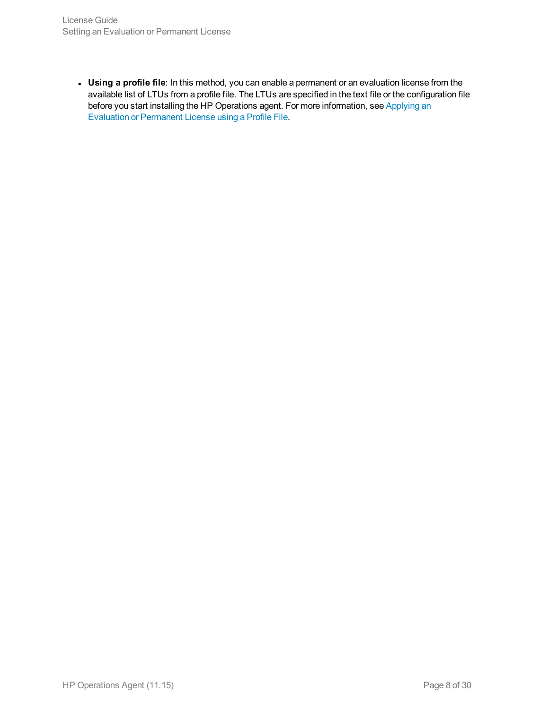<sup>l</sup> **Using a profile file**: In this method, you can enable a permanent or an evaluation license from the available list of LTUs from a profile file. The LTUs are specified in the text file or the configuration file before you start installing the HP Operations agent. For more information, see [Applying](#page-15-0) an Evaluation or [Permanent](#page-15-0) License using a Profile File.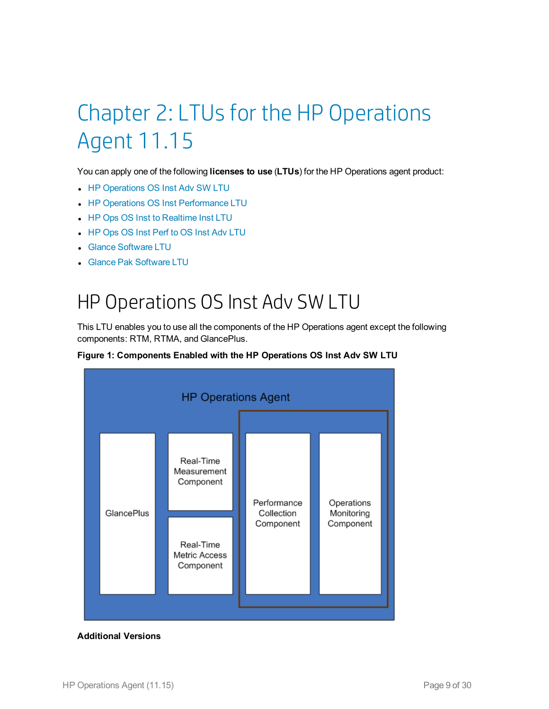# <span id="page-8-0"></span>Chapter 2: LTUs for the HP Operations Agent 11.15

You can apply one of the following **licenses to use** (**LTUs**) for the HP Operations agent product:

- HP [Operations](#page-8-1) OS Inst Adv SW LTU
- HP Operations OS Inst [Performance](#page-9-0) LTU
- HP Ops OS Inst to [Realtime](#page-10-0) Inst LTU
- HP Ops OS Inst Perf to OS Inst Adv [LTU](#page-11-0)
- **Glance [Software](#page-11-1) LTU**
- <span id="page-8-1"></span>**Glance Pak [Software](#page-12-0) LTU**

## HP Operations OS Inst Adv SW LTU

This LTU enables you to use all the components of the HP Operations agent except the following components: RTM, RTMA, and GlancePlus.





### **Additional Versions**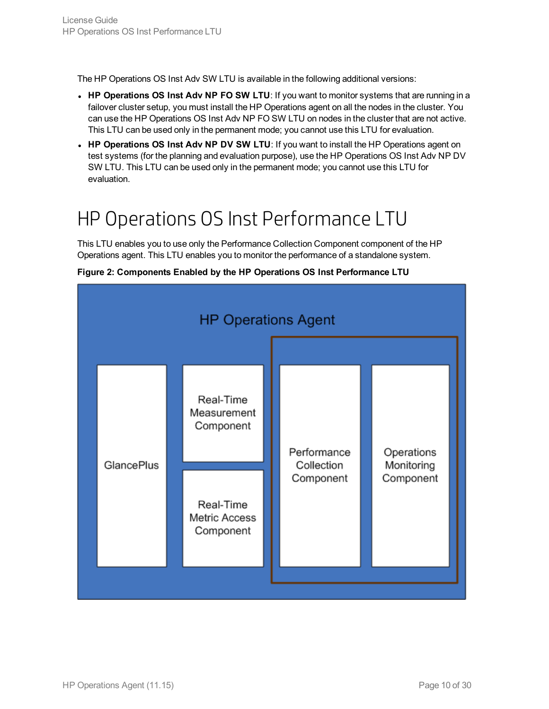The HP Operations OS Inst Adv SW LTU is available in the following additional versions:

- **HP** Operations OS Inst Adv NP FO SW LTU: If you want to monitor systems that are running in a failover cluster setup, you must install the HP Operations agent on all the nodes in the cluster. You can use the HP Operations OS Inst Adv NP FO SW LTU on nodes in the cluster that are not active. This LTU can be used only in the permanent mode; you cannot use this LTU for evaluation.
- <sup>l</sup> **HP Operations OS Inst Adv NP DV SW LTU**: If you want to install the HP Operations agent on test systems (for the planning and evaluation purpose), use the HP Operations OS Inst Adv NP DV SW LTU. This LTU can be used only in the permanent mode; you cannot use this LTU for evaluation.

## <span id="page-9-0"></span>HP Operations OS Inst Performance LTU

This LTU enables you to use only the Performance Collection Component component of the HP Operations agent. This LTU enables you to monitor the performance of a standalone system.



**Figure 2: Components Enabled by the HP Operations OS Inst Performance LTU**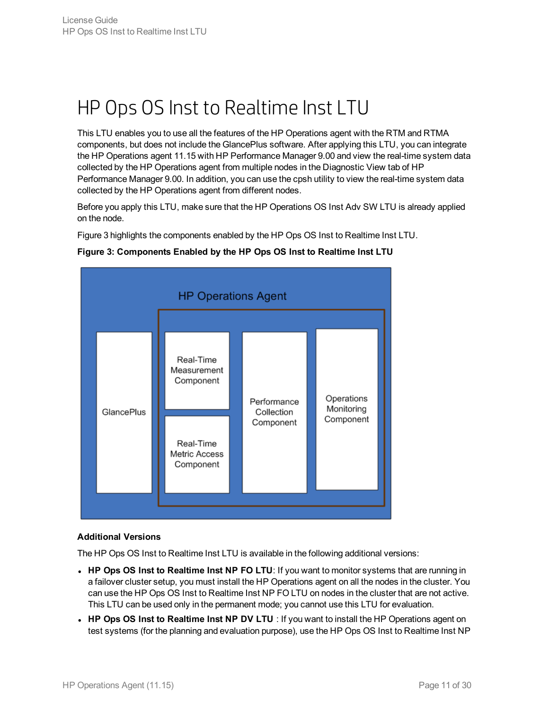## <span id="page-10-0"></span>HP Ops OS Inst to Realtime Inst LTU

This LTU enables you to use all the features of the HP Operations agent with the RTM and RTMA components, but does not include the GlancePlus software. After applying this LTU, you can integrate the HP Operations agent 11.15 with HP Performance Manager 9.00 and view the real-time system data collected by the HP Operations agent from multiple nodes in the Diagnostic View tab of HP Performance Manager 9.00. In addition, you can use the cpsh utility to view the real-time system data collected by the HP Operations agent from different nodes.

Before you apply this LTU, make sure that the HP Operations OS Inst Adv SW LTU is already applied on the node.

Figure 3 highlights the components enabled by the HP Ops OS Inst to Realtime Inst LTU.



### **Figure 3: Components Enabled by the HP Ops OS Inst to Realtime Inst LTU**

### **Additional Versions**

The HP Ops OS Inst to Realtime Inst LTU is available in the following additional versions:

- <sup>l</sup> **HP Ops OS Inst to Realtime Inst NP FO LTU**: If you want to monitor systems that are running in a failover cluster setup, you must install the HP Operations agent on all the nodes in the cluster. You can use the HP Ops OS Inst to Realtime Inst NP FO LTU on nodes in the cluster that are not active. This LTU can be used only in the permanent mode; you cannot use this LTU for evaluation.
- <sup>l</sup> **HP Ops OS Inst to Realtime Inst NP DV LTU** : If you want to install the HP Operations agent on test systems (for the planning and evaluation purpose), use the HP Ops OS Inst to Realtime Inst NP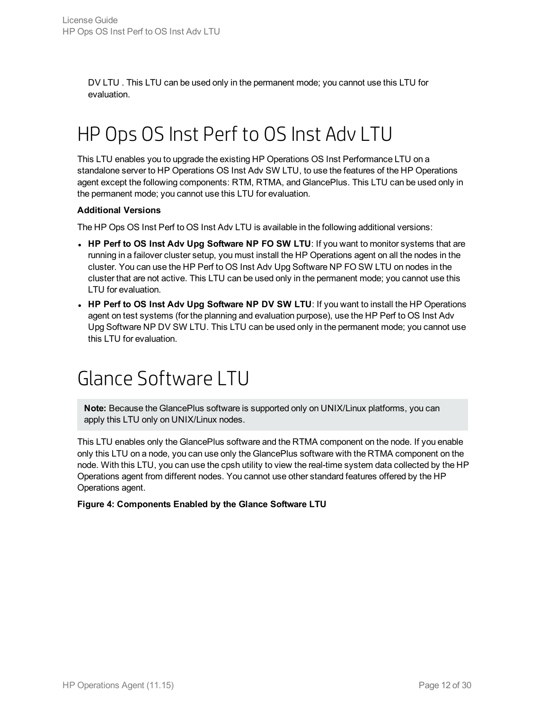<span id="page-11-0"></span>DV LTU . This LTU can be used only in the permanent mode; you cannot use this LTU for evaluation.

## HP Ops OS Inst Perf to OS Inst Adv LTU

This LTU enables you to upgrade the existing HP Operations OS Inst Performance LTU on a standalone server to HP Operations OS Inst Adv SW LTU, to use the features of the HP Operations agent except the following components: RTM, RTMA, and GlancePlus. This LTU can be used only in the permanent mode; you cannot use this LTU for evaluation.

#### **Additional Versions**

The HP Ops OS Inst Perf to OS Inst Adv LTU is available in the following additional versions:

- <sup>l</sup> **HP Perf to OS Inst Adv Upg Software NP FO SW LTU**: If you want to monitor systems that are running in a failover cluster setup, you must install the HP Operations agent on all the nodes in the cluster. You can use the HP Perf to OS Inst Adv Upg Software NP FO SW LTU on nodes in the cluster that are not active. This LTU can be used only in the permanent mode; you cannot use this LTU for evaluation.
- <sup>l</sup> **HP Perf to OS Inst Adv Upg Software NP DV SW LTU**: If you want to install the HP Operations agent on test systems (for the planning and evaluation purpose), use the HP Perf to OS Inst Adv Upg Software NP DV SW LTU. This LTU can be used only in the permanent mode; you cannot use this LTU for evaluation.

### <span id="page-11-1"></span>Glance Software LTU

**Note:** Because the GlancePlus software is supported only on UNIX/Linux platforms, you can apply this LTU only on UNIX/Linux nodes.

This LTU enables only the GlancePlus software and the RTMA component on the node. If you enable only this LTU on a node, you can use only the GlancePlus software with the RTMA component on the node. With this LTU, you can use the cpsh utility to view the real-time system data collected by the HP Operations agent from different nodes. You cannot use other standard features offered by the HP Operations agent.

### **Figure 4: Components Enabled by the Glance Software LTU**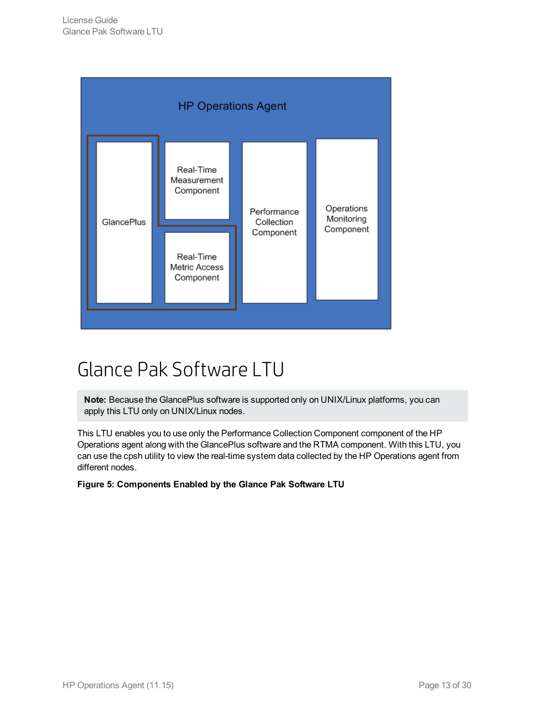

## <span id="page-12-0"></span>Glance Pak Software LTU

**Note:** Because the GlancePlus software is supported only on UNIX/Linux platforms, you can apply this LTU only on UNIX/Linux nodes.

This LTU enables you to use only the Performance Collection Component component of the HP Operations agent along with the GlancePlus software and the RTMA component. With this LTU, you can use the cpsh utility to view the real-time system data collected by the HP Operations agent from different nodes.

**Figure 5: Components Enabled by the Glance Pak Software LTU**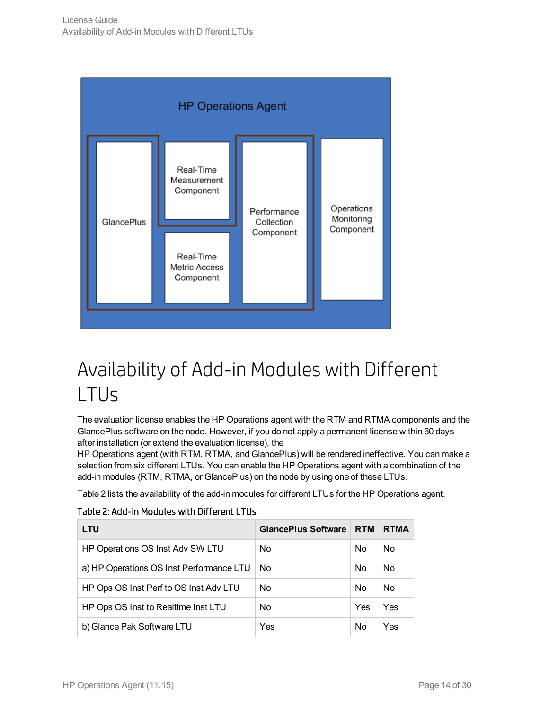

## <span id="page-13-0"></span>Availability of Add-in Modules with Different LTUs

The evaluation license enables the HP Operations agent with the RTM and RTMA components and the GlancePlus software on the node. However, if you do not apply a permanent license within 60 days after installation (or extend the evaluation license), the

HP Operations agent (with RTM, RTMA, and GlancePlus) will be rendered ineffective. You can make a selection from six different LTUs. You can enable the HP Operations agent with a combination of the add-in modules (RTM, RTMA, or GlancePlus) on the node by using one of these LTUs.

Table 2 lists the availability of the add-in modules for different LTUs for the HP Operations agent.

### Table 2: Add-in Modules with Different LTUs

| <b>LTU</b>                               | <b>GlancePlus Software</b> | <b>RTM</b> | <b>RTMA</b> |
|------------------------------------------|----------------------------|------------|-------------|
| HP Operations OS Inst Adv SW LTU         | No                         | No         | No.         |
| a) HP Operations OS Inst Performance LTU | No                         | No         | No          |
| HP Ops OS Inst Perf to OS Inst Adv LTU   | No                         | No         | Nο          |
| HP Ops OS Inst to Realtime Inst LTU      | No                         | Yes        | Yes         |
| b) Glance Pak Software LTU               | Yes                        | No         | Yes         |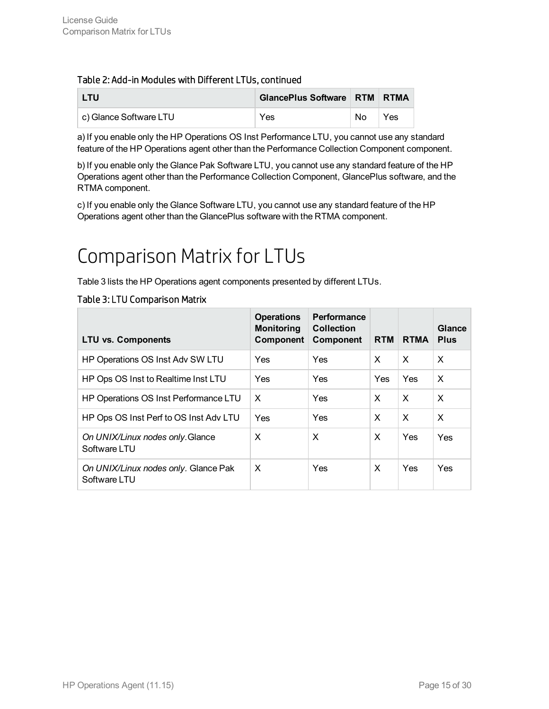### Table 2: Add-in Modules with Different LTUs, continued

| <b>LTU</b>             | GlancePlus Software RTM RTMA |    |     |
|------------------------|------------------------------|----|-----|
| c) Glance Software LTU | Yes                          | No | Yes |

a) If you enable only the HP Operations OS Inst Performance LTU, you cannot use any standard feature of the HP Operations agent other than the Performance Collection Component component.

b) If you enable only the Glance Pak Software LTU, you cannot use any standard feature of the HP Operations agent other than the Performance Collection Component, GlancePlus software, and the RTMA component.

<span id="page-14-0"></span>c) If you enable only the Glance Software LTU, you cannot use any standard feature of the HP Operations agent other than the GlancePlus software with the RTMA component.

## Comparison Matrix for LTUs

Table 3 lists the HP Operations agent components presented by different LTUs.

### Table 3: LTU Comparison Matrix

| <b>LTU vs. Components</b>                            | <b>Operations</b><br><b>Monitoring</b><br>Component | Performance<br><b>Collection</b><br>Component | <b>RTM</b> | <b>RTMA</b>               | Glance<br><b>Plus</b>     |
|------------------------------------------------------|-----------------------------------------------------|-----------------------------------------------|------------|---------------------------|---------------------------|
| HP Operations OS Inst Adv SW LTU                     | Yes                                                 | Yes                                           | X          | $\boldsymbol{\mathsf{x}}$ | X                         |
| HP Ops OS Inst to Realtime Inst LTU                  | Yes                                                 | Yes                                           | Yes.       | Yes                       | X                         |
| HP Operations OS Inst Performance LTU                | $\times$                                            | Yes                                           | X          | $\times$                  | $\boldsymbol{\mathsf{x}}$ |
| HP Ops OS Inst Perf to OS Inst Adv LTU               | Yes                                                 | Yes                                           | X          | $\times$                  | $\boldsymbol{\mathsf{x}}$ |
| On UNIX/Linux nodes only. Glance<br>Software LTU     | $\boldsymbol{\mathsf{x}}$                           | X                                             | X          | Yes                       | Yes                       |
| On UNIX/Linux nodes only. Glance Pak<br>Software LTU | X                                                   | Yes.                                          | X          | <b>Yes</b>                | Yes                       |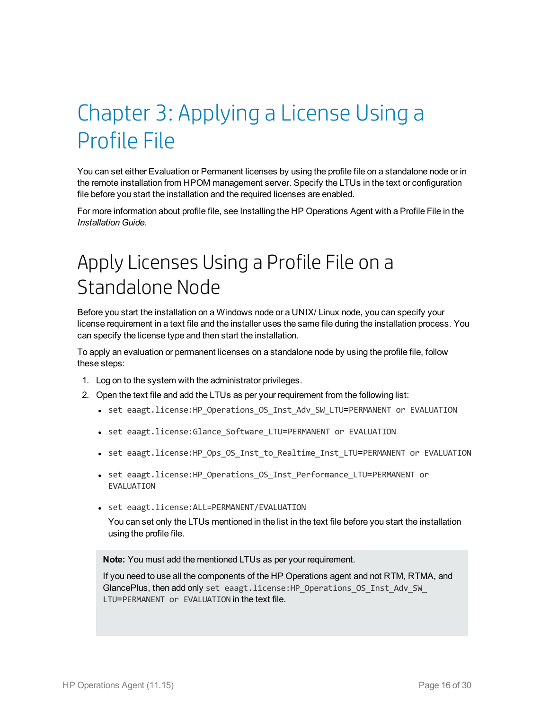# <span id="page-15-0"></span>Chapter 3: Applying a License Using a Profile File

You can set either Evaluation or Permanent licenses by using the profile file on a standalone node or in the remote installation from HPOM management server. Specify the LTUs in the text or configuration file before you start the installation and the required licenses are enabled.

<span id="page-15-1"></span>For more information about profile file, see Installing the HP Operations Agent with a Profile File in the *Installation Guide*.

## Apply Licenses Using a Profile File on a Standalone Node

Before you start the installation on a Windows node or a UNIX/ Linux node, you can specify your license requirement in a text file and the installer uses the same file during the installation process. You can specify the license type and then start the installation.

To apply an evaluation or permanent licenses on a standalone node by using the profile file, follow these steps:

- 1. Log on to the system with the administrator privileges.
- 2. Open the text file and add the LTUs as per your requirement from the following list:
	- set eaagt.license:HP Operations OS Inst Adv SW LTU=PERMANENT or EVALUATION
	- set eaagt.license:Glance Software LTU=PERMANENT or EVALUATION
	- set eaagt.license:HP\_Ops\_OS\_Inst\_to\_Realtime\_Inst\_LTU=PERMANENT or EVALUATION
	- set eaagt.license:HP\_Operations\_OS\_Inst\_Performance\_LTU=PERMANENT\_or EVALUATION
	- set eaagt.license:ALL=PERMANENT/EVALUATION

You can set only the LTUs mentioned in the list in the text file before you start the installation using the profile file.

**Note:** You must add the mentioned LTUs as per your requirement.

If you need to use all the components of the HP Operations agent and not RTM, RTMA, and GlancePlus, then add only set eaagt.license: HP\_Operations\_OS\_Inst\_Adv\_SW\_ LTU=PERMANENT or EVALUATION in the text file.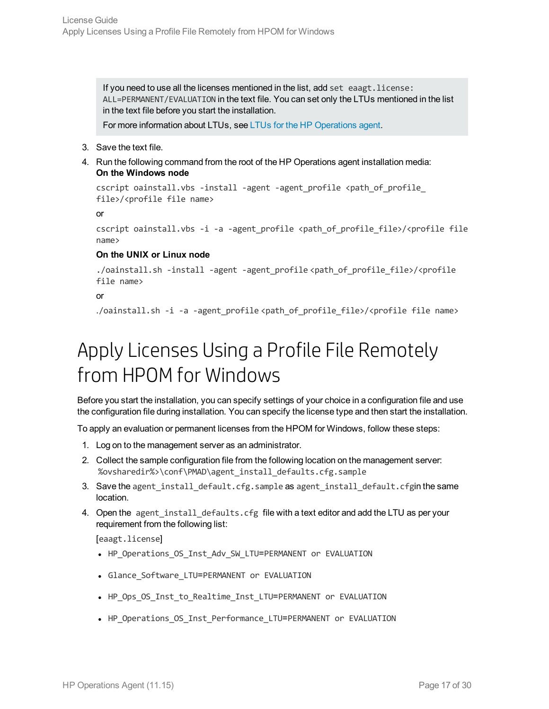If you need to use all the licenses mentioned in the list, add set eaagt. license: ALL=PERMANENT/EVALUATION in the text file. You can set only the LTUs mentioned in the list in the text file before you start the installation.

For more information about LTUs, see LTUs for the HP [Operations](#page-8-0) agent.

- 3. Save the text file.
- 4. Run the following command from the root of the HP Operations agent installation media: **On the Windows node**

```
cscript oainstall.vbs -install -agent -agent profile <path of profile
file>/<profile file name>
```
or

```
cscript oainstall.vbs -i -a -agent profile <path of profile file>/<profile file
name>
```
#### **On the UNIX or Linux node**

```
./oainstall.sh -install -agent -agent_profile <path_of_profile_file>/<profile
file name>
```
#### or

<span id="page-16-0"></span>./oainstall.sh -i -a -agent\_profile <path\_of\_profile\_file>/<profile file name>

## Apply Licenses Using a Profile File Remotely from HPOM for Windows

Before you start the installation, you can specify settings of your choice in a configuration file and use the configuration file during installation. You can specify the license type and then start the installation.

To apply an evaluation or permanent licenses from the HPOM for Windows, follow these steps:

- 1. Log on to the management server as an administrator.
- 2. Collect the sample configuration file from the following location on the management server: %ovsharedir%>\conf\PMAD\agent\_install\_defaults.cfg.sample
- 3. Save the agent install default.cfg.sample as agent install default.cfgin the same location.
- 4. Open the agent install defaults.cfg file with a text editor and add the LTU as per your requirement from the following list:

[eaagt.license]

- HP Operations OS Inst Adv SW LTU=PERMANENT or EVALUATION
- Glance Software LTU=PERMANENT or EVALUATION
- HP Ops OS Inst to Realtime Inst LTU=PERMANENT or EVALUATION
- HP Operations OS Inst Performance LTU=PERMANENT or EVALUATION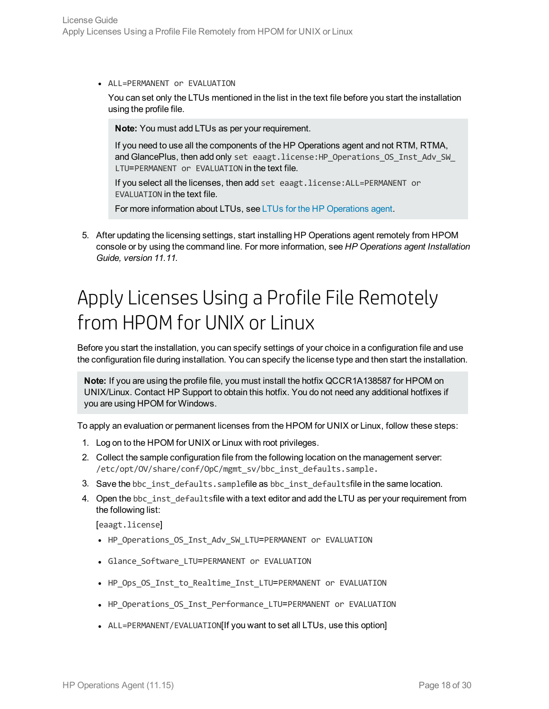• ALL=PERMANENT or EVALUATION

You can set only the LTUs mentioned in the list in the text file before you start the installation using the profile file.

**Note:** You must add LTUs as per your requirement.

If you need to use all the components of the HP Operations agent and not RTM, RTMA, and GlancePlus, then add only set eaagt.license: HP\_Operations\_OS\_Inst\_Adv\_SW\_ LTU=PERMANENT or EVALUATION in the text file.

If you select all the licenses, then add set eaagt.license:ALL=PERMANENT or EVALUATION in the text file.

For more information about LTUs, see LTUs for the HP [Operations](#page-8-0) agent.

5. After updating the licensing settings, start installing HP Operations agent remotely from HPOM console or by using the command line. For more information, see *HP Operations agent Installation Guide, version 11.11.*

## <span id="page-17-0"></span>Apply Licenses Using a Profile File Remotely from HPOM for UNIX or Linux

Before you start the installation, you can specify settings of your choice in a configuration file and use the configuration file during installation. You can specify the license type and then start the installation.

**Note:** If you are using the profile file, you must install the hotfix QCCR1A138587 for HPOM on UNIX/Linux. Contact HP Support to obtain this hotfix. You do not need any additional hotfixes if you are using HPOM for Windows.

To apply an evaluation or permanent licenses from the HPOM for UNIX or Linux, follow these steps:

- 1. Log on to the HPOM for UNIX or Linux with root privileges.
- 2. Collect the sample configuration file from the following location on the management server: /etc/opt/OV/share/conf/OpC/mgmt\_sv/bbc\_inst\_defaults.sample.
- 3. Save the bbc\_inst\_defaults.samplefile as bbc\_inst\_defaultsfile in the same location.
- 4. Open the bbc\_inst\_defaultsfile with a text editor and add the LTU as per your requirement from the following list:

[eaagt.license]

- HP Operations OS Inst Adv SW LTU=PERMANENT or EVALUATION
- Glance Software LTU=PERMANENT or EVALUATION
- HP Ops OS Inst to Realtime Inst LTU=PERMANENT or EVALUATION
- HP Operations OS Inst Performance LTU=PERMANENT or EVALUATION
- ALL=PERMANENT/EVALUATION[If you want to set all LTUs, use this option]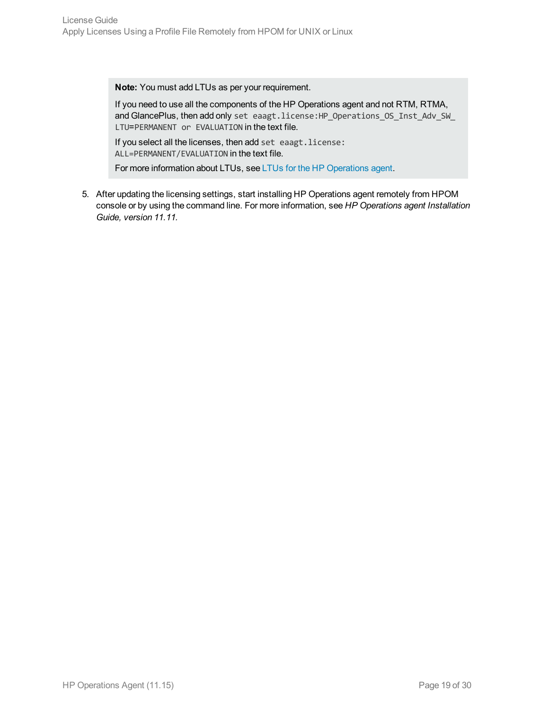**Note:** You must add LTUs as per your requirement.

If you need to use all the components of the HP Operations agent and not RTM, RTMA, and GlancePlus, then add only set eaagt.license:HP\_Operations\_OS\_Inst\_Adv\_SW\_ LTU=PERMANENT or EVALUATION in the text file.

If you select all the licenses, then add set eaagt.license: ALL=PERMANENT/EVALUATION in the text file.

For more information about LTUs, see LTUs for the HP [Operations](#page-8-0) agent.

5. After updating the licensing settings, start installing HP Operations agent remotely from HPOM console or by using the command line. For more information, see *HP Operations agent Installation Guide, version 11.11.*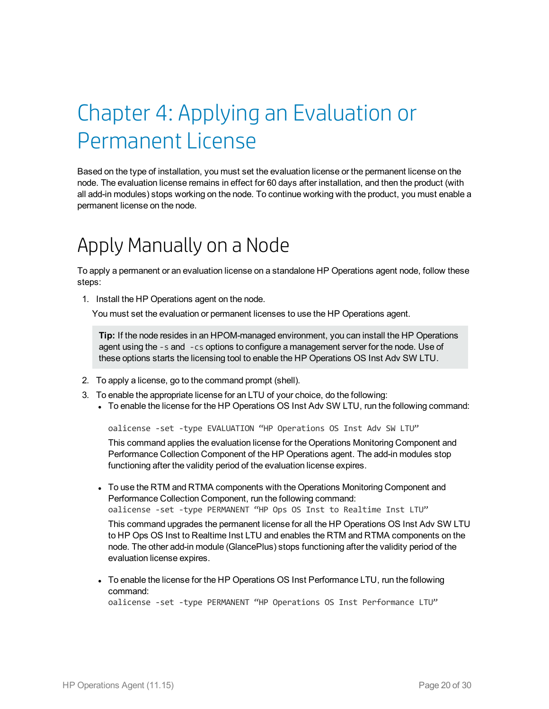# <span id="page-19-0"></span>Chapter 4: Applying an Evaluation or Permanent License

Based on the type of installation, you must set the evaluation license or the permanent license on the node. The evaluation license remains in effect for 60 days after installation, and then the product (with all add-in modules) stops working on the node. To continue working with the product, you must enable a permanent license on the node.

## <span id="page-19-1"></span>Apply Manually on a Node

To apply a permanent or an evaluation license on a standalone HP Operations agent node, follow these steps:

1. Install the HP Operations agent on the node.

You must set the evaluation or permanent licenses to use the HP Operations agent.

**Tip:** If the node resides in an HPOM-managed environment, you can install the HP Operations agent using the -s and -cs options to configure a management server for the node. Use of these options starts the licensing tool to enable the HP Operations OS Inst Adv SW LTU.

- 2. To apply a license, go to the command prompt (shell).
- 3. To enable the appropriate license for an LTU of your choice, do the following:
	- To enable the license for the HP Operations OS Inst Adv SW LTU, run the following command:

oalicense -set -type EVALUATION "HP Operations OS Inst Adv SW LTU"

This command applies the evaluation license for the Operations Monitoring Component and Performance Collection Component of the HP Operations agent. The add-in modules stop functioning after the validity period of the evaluation license expires.

• To use the RTM and RTMA components with the Operations Monitoring Component and Performance Collection Component, run the following command: oalicense -set -type PERMANENT "HP Ops OS Inst to Realtime Inst LTU"

This command upgrades the permanent license for all the HP Operations OS Inst Adv SW LTU to HP Ops OS Inst to Realtime Inst LTU and enables the RTM and RTMA components on the node. The other add-in module (GlancePlus) stops functioning after the validity period of the evaluation license expires.

• To enable the license for the HP Operations OS Inst Performance LTU, run the following command:

oalicense -set -type PERMANENT "HP Operations OS Inst Performance LTU"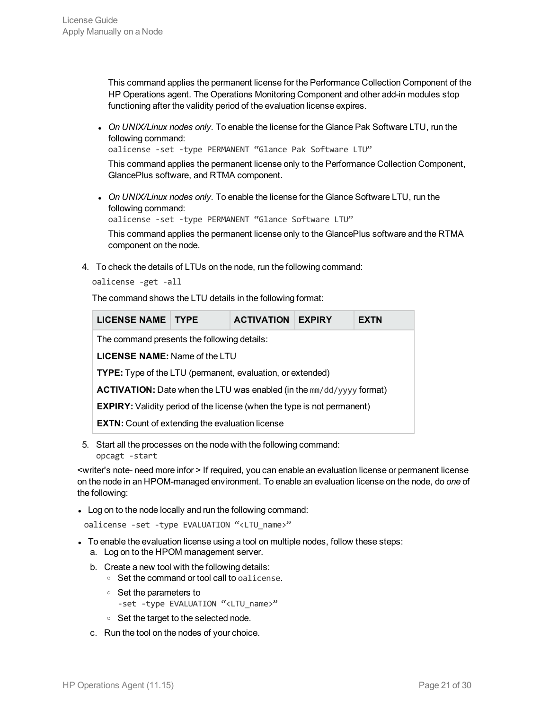This command applies the permanent license for the Performance Collection Component of the HP Operations agent. The Operations Monitoring Component and other add-in modules stop functioning after the validity period of the evaluation license expires.

<sup>l</sup> *On UNIX/Linux nodes only.* To enable the license for the Glance Pak Software LTU, run the following command:

oalicense -set -type PERMANENT "Glance Pak Software LTU"

This command applies the permanent license only to the Performance Collection Component, GlancePlus software, and RTMA component.

<sup>l</sup> *On UNIX/Linux nodes only.* To enable the license for the Glance Software LTU, run the following command:

```
oalicense -set -type PERMANENT "Glance Software LTU"
```
This command applies the permanent license only to the GlancePlus software and the RTMA component on the node.

4. To check the details of LTUs on the node, run the following command:

oalicense -get -all

The command shows the LTU details in the following format:

| <b>LICENSE NAME TYPE</b>                                                       |  | <b>ACTIVATION</b> | <b>EXPIRY</b> | EXTN |  |
|--------------------------------------------------------------------------------|--|-------------------|---------------|------|--|
| The command presents the following details:                                    |  |                   |               |      |  |
| <b>LICENSE NAME:</b> Name of the LTU                                           |  |                   |               |      |  |
| <b>TYPE:</b> Type of the LTU (permanent, evaluation, or extended)              |  |                   |               |      |  |
| <b>ACTIVATION:</b> Date when the LTU was enabled (in the $mm/dd/yyyy$ format)  |  |                   |               |      |  |
| <b>EXPIRY:</b> Validity period of the license (when the type is not permanent) |  |                   |               |      |  |
| <b>EXTN:</b> Count of extending the evaluation license                         |  |                   |               |      |  |
|                                                                                |  |                   |               |      |  |

5. Start all the processes on the node with the following command: opcagt -start

<writer's note- need more infor > If required, you can enable an evaluation license or permanent license on the node in an HPOM-managed environment. To enable an evaluation license on the node, do *one* of the following:

• Log on to the node locally and run the following command:

oalicense -set -type EVALUATION "<LTU\_name>"

- To enable the evaluation license using a tool on multiple nodes, follow these steps:
	- a. Log on to the HPOM management server.
	- b. Create a new tool with the following details:
		- <sup>o</sup> Set the command or tool call to oalicense.
		- <sup>o</sup> Set the parameters to
			- -set -type EVALUATION "<LTU name>"
		- <sup>o</sup> Set the target to the selected node.
	- c. Run the tool on the nodes of your choice.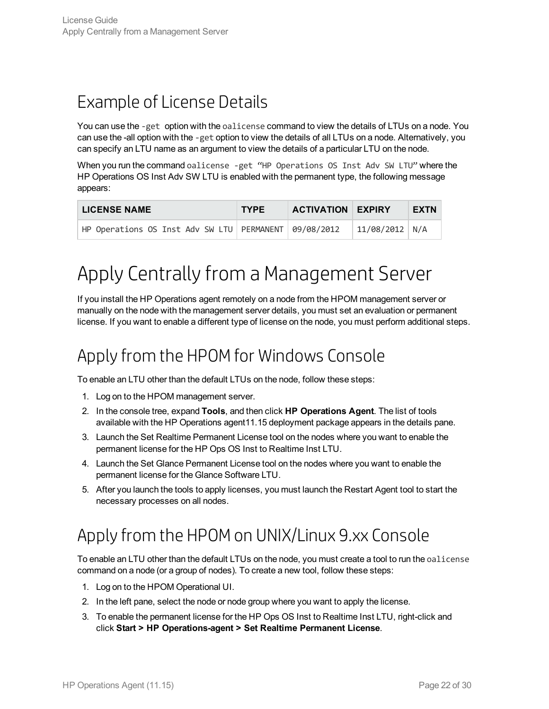### <span id="page-21-0"></span>Example of License Details

You can use the -get option with the oalicense command to view the details of LTUs on a node. You can use the -all option with the -get option to view the details of all LTUs on a node. Alternatively, you can specify an LTU name as an argument to view the details of a particular LTU on the node.

When you run the command oalicense -get "HP Operations OS Inst Adv SW LTU" where the HP Operations OS Inst Adv SW LTU is enabled with the permanent type, the following message appears:

| <b>LICENSE NAME</b>                                       | <b>TYPE</b> | <b>ACTIVATION EXPIRY</b> |                  | EXTN |
|-----------------------------------------------------------|-------------|--------------------------|------------------|------|
| HP Operations OS Inst Adv SW LTU   PERMANENT   09/08/2012 |             |                          | $11/08/2012$ N/A |      |

## <span id="page-21-1"></span>Apply Centrally from a Management Server

If you install the HP Operations agent remotely on a node from the HPOM management server or manually on the node with the management server details, you must set an evaluation or permanent license. If you want to enable a different type of license on the node, you must perform additional steps.

### <span id="page-21-2"></span>Apply from the HPOMfor Windows Console

To enable an LTU other than the default LTUs on the node, follow these steps:

- 1. Log on to the HPOM management server.
- 2. In the console tree, expand **Tools**, and then click **HP Operations Agent**. The list of tools available with the HP Operations agent11.15 deployment package appears in the details pane.
- 3. Launch the Set Realtime Permanent License tool on the nodes where you want to enable the permanent license for the HP Ops OS Inst to Realtime Inst LTU.
- 4. Launch the Set Glance Permanent License tool on the nodes where you want to enable the permanent license for the Glance Software LTU.
- <span id="page-21-3"></span>5. After you launch the tools to apply licenses, you must launch the Restart Agent tool to start the necessary processes on all nodes.

### Apply from the HPOMon UNIX/Linux 9.xx Console

To enable an LTU other than the default LTUs on the node, you must create a tool to run the oalicense command on a node (or a group of nodes). To create a new tool, follow these steps:

- 1. Log on to the HPOM Operational UI.
- 2. In the left pane, select the node or node group where you want to apply the license.
- 3. To enable the permanent license for the HP Ops OS Inst to Realtime Inst LTU, right-click and click **Start > HP Operations-agent > Set Realtime Permanent License**.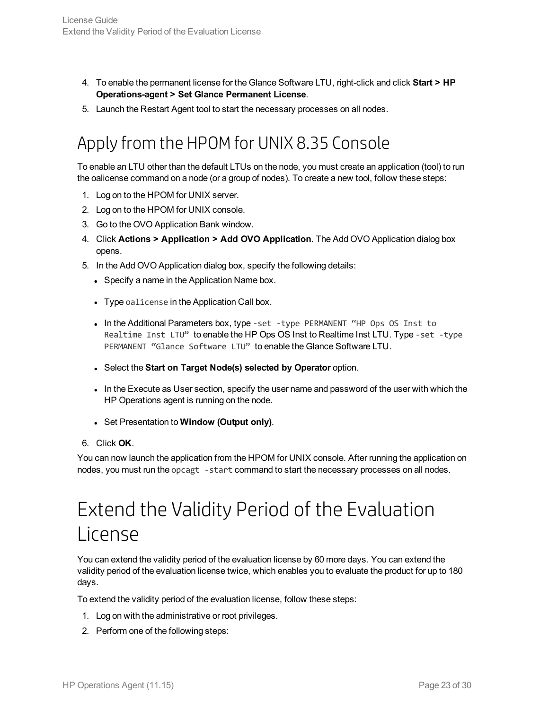- 4. To enable the permanent license for the Glance Software LTU, right-click and click **Start > HP Operations-agent > Set Glance Permanent License**.
- <span id="page-22-0"></span>5. Launch the Restart Agent tool to start the necessary processes on all nodes.

### Apply from the HPOMfor UNIX 8.35 Console

To enable an LTU other than the default LTUs on the node, you must create an application (tool) to run the oalicense command on a node (or a group of nodes). To create a new tool, follow these steps:

- 1. Log on to the HPOM for UNIX server.
- 2. Log on to the HPOM for UNIX console.
- 3. Go to the OVO Application Bank window.
- 4. Click **Actions > Application > Add OVO Application**. The Add OVO Application dialog box opens.
- 5. In the Add OVO Application dialog box, specify the following details:
	- Specify a name in the Application Name box.
	- Type oalicense in the Application Call box.
	- In the Additional Parameters box, type -set -type PERMANENT "HP Ops OS Inst to Realtime Inst LTU" to enable the HP Ops OS Inst to Realtime Inst LTU. Type -set -type PERMANENT "Glance Software LTU" to enable the Glance Software LTU.
	- <sup>l</sup> Select the **Start on Target Node(s) selected by Operator** option.
	- In the Execute as User section, specify the user name and password of the user with which the HP Operations agent is running on the node.
	- <sup>l</sup> Set Presentation to **Window (Output only)**.
- 6. Click **OK**.

<span id="page-22-1"></span>You can now launch the application from the HPOM for UNIX console. After running the application on nodes, you must run the opcagt -start command to start the necessary processes on all nodes.

## Extend the Validity Period of the Evaluation License

You can extend the validity period of the evaluation license by 60 more days. You can extend the validity period of the evaluation license twice, which enables you to evaluate the product for up to 180 days.

To extend the validity period of the evaluation license, follow these steps:

- 1. Log on with the administrative or root privileges.
- 2. Perform one of the following steps: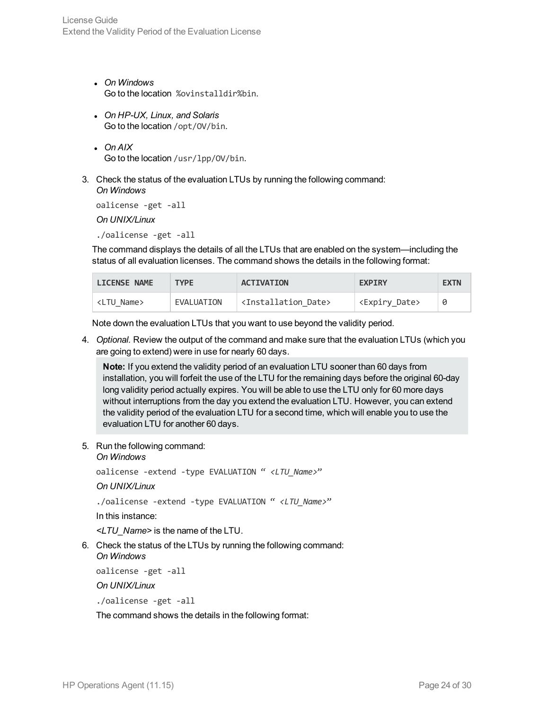- <sup>l</sup> *On Windows* Go to the location %ovinstalldir%bin.
- <sup>l</sup> *On HP-UX, Linux, and Solaris* Go to the location /opt/OV/bin.
- <sup>l</sup> *On AIX* Go to the location /usr/lpp/OV/bin.
- 3. Check the status of the evaluation LTUs by running the following command: *On Windows*

oalicense -get -all

*On UNIX/Linux*

./oalicense -get -all

The command displays the details of all the LTUs that are enabled on the system—including the status of all evaluation licenses. The command shows the details in the following format:

| <b>LICENSE NAME</b> | <b>TYPF</b> | <b>ACTIVATION</b>                     | <b>EXPIRY</b>               | <b>EXTN</b> |
|---------------------|-------------|---------------------------------------|-----------------------------|-------------|
| <ltu name=""></ltu> | EVALUATION  | <installation date=""></installation> | <expiry_date></expiry_date> | 0           |

Note down the evaluation LTUs that you want to use beyond the validity period.

4. *Optional.* Review the output of the command and make sure that the evaluation LTUs (which you are going to extend) were in use for nearly 60 days.

**Note:** If you extend the validity period of an evaluation LTU sooner than 60 days from installation, you will forfeit the use of the LTU for the remaining days before the original 60-day long validity period actually expires. You will be able to use the LTU only for 60 more days without interruptions from the day you extend the evaluation LTU. However, you can extend the validity period of the evaluation LTU for a second time, which will enable you to use the evaluation LTU for another 60 days.

5. Run the following command:

#### *On Windows*

oalicense -extend -type EVALUATION " *<LTU\_Name>*"

#### *On UNIX/Linux*

./oalicense -extend -type EVALUATION " *<LTU\_Name>*"

In this instance:

*<LTU\_Name>* is the name of the LTU.

6. Check the status of the LTUs by running the following command: *On Windows*

oalicense -get -all

*On UNIX/Linux*

./oalicense -get -all

The command shows the details in the following format: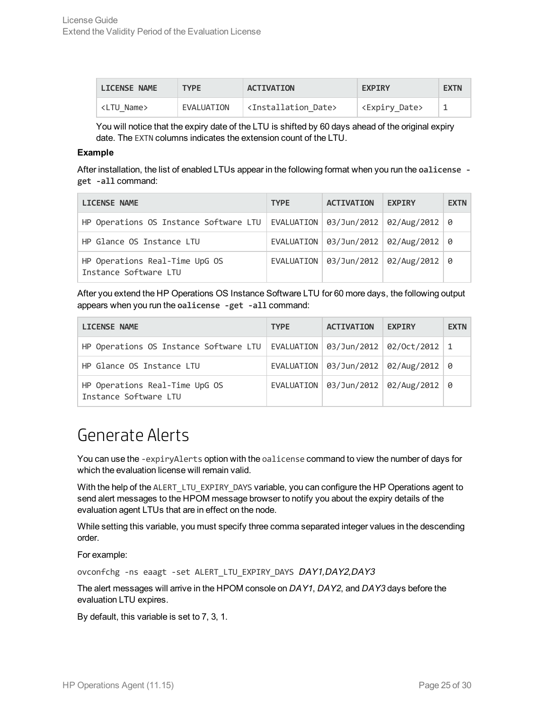| <b>LICENSE NAME</b> | <b>TYPE</b> | <b>ACTIVATION</b>                     | <b>EXPIRY</b>               | <b>EXTN</b> |
|---------------------|-------------|---------------------------------------|-----------------------------|-------------|
| <ltu name=""></ltu> | EVALUATION  | <installation date=""></installation> | <expiry_date></expiry_date> |             |

You will notice that the expiry date of the LTU is shifted by 60 days ahead of the original expiry date. The EXTN columns indicates the extension count of the LTU.

#### **Example**

After installation, the list of enabled LTUs appear in the following format when you run the **oalicense get -all** command:

| <b>LICENSE NAME</b>                                                                 | <b>TYPE</b> | <b>ACTIVATION</b>                          | <b>EXPIRY</b> | <b>EXTN</b> |
|-------------------------------------------------------------------------------------|-------------|--------------------------------------------|---------------|-------------|
| HP Operations OS Instance Software LTU   EVALUATION   03/Jun/2012   02/Aug/2012   0 |             |                                            |               |             |
| HP Glance OS Instance LTU                                                           |             | EVALUATION   03/Jun/2012   02/Aug/2012   0 |               |             |
| HP Operations Real-Time UpG OS<br>Instance Software LTU                             |             | EVALUATION   03/Jun/2012   02/Aug/2012   0 |               |             |

After you extend the HP Operations OS Instance Software LTU for 60 more days, the following output appears when you run the **oalicense -get -all** command:

| <b>LICENSE NAME</b>                                                                                 | <b>TYPE</b> | <b>ACTIVATION</b> | <b>EXPIRY</b>                              | <b>EXTN</b> |
|-----------------------------------------------------------------------------------------------------|-------------|-------------------|--------------------------------------------|-------------|
| HP Operations OS Instance Software LTU   EVALUATION   $\theta$ 3/Jun/2012   $\theta$ 2/Oct/2012   1 |             |                   |                                            |             |
| HP Glance OS Instance LTU                                                                           |             |                   | EVALUATION   03/Jun/2012   02/Aug/2012   0 |             |
| HP Operations Real-Time UpG OS<br>Instance Software LTU                                             |             |                   | EVALUATION   03/Jun/2012   02/Aug/2012   0 |             |

### <span id="page-24-0"></span>Generate Alerts

You can use the -expiryAlerts option with the oalicense command to view the number of days for which the evaluation license will remain valid.

With the help of the ALERT\_LTU\_EXPIRY\_DAYS variable, you can configure the HP Operations agent to send alert messages to the HPOM message browser to notify you about the expiry details of the evaluation agent LTUs that are in effect on the node.

While setting this variable, you must specify three comma separated integer values in the descending order.

For example:

ovconfchg -ns eaagt -set ALERT LTU EXPIRY DAYS DAY1,DAY2,DAY3

The alert messages will arrive in the HPOM console on *DAY1*, *DAY2*, and *DAY3* days before the evaluation LTU expires.

By default, this variable is set to 7, 3, 1.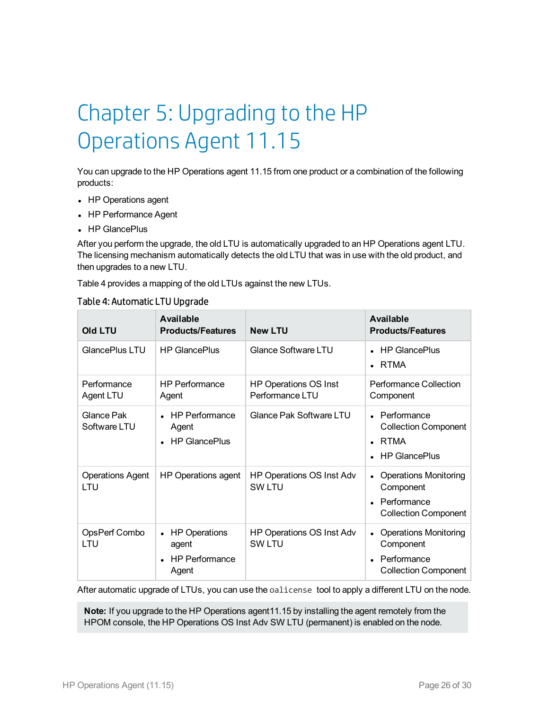# <span id="page-25-0"></span>Chapter 5: Upgrading to the HP Operations Agent 11.15

You can upgrade to the HP Operations agent 11.15 from one product or a combination of the following products:

- HP Operations agent
- HP Performance Agent
- HP GlancePlus

After you perform the upgrade, the old LTU is automatically upgraded to an HP Operations agent LTU. The licensing mechanism automatically detects the old LTU that was in use with the old product, and then upgrades to a new LTU.

Table 4 provides a mapping of the old LTUs against the new LTUs.

| <b>Old LTU</b>                 | Available<br><b>Products/Features</b>                      | <b>New LTU</b>                                  | <b>Available</b><br><b>Products/Features</b>                                                |
|--------------------------------|------------------------------------------------------------|-------------------------------------------------|---------------------------------------------------------------------------------------------|
| GlancePlus LTU                 | <b>HP GlancePlus</b>                                       | <b>Glance Software LTU</b>                      | <b>HP GlancePlus</b><br><b>RTMA</b>                                                         |
| Performance<br>Agent LTU       | <b>HP Performance</b><br>Agent                             | <b>HP Operations OS Inst</b><br>Performance LTU | <b>Performance Collection</b><br>Component                                                  |
| Glance Pak<br>Software LTU     | HP Performance<br>Agent<br><b>HP GlancePlus</b>            | Glance Pak Software LTU                         | $\bullet$ Performance<br><b>Collection Component</b><br><b>RTMA</b><br><b>HP GlancePlus</b> |
| <b>Operations Agent</b><br>LTU | HP Operations agent                                        | HP Operations OS Inst Adv<br><b>SW LTU</b>      | <b>Operations Monitoring</b><br>Component<br>Performance<br><b>Collection Component</b>     |
| OpsPerf Combo<br>LTU           | • HP Operations<br>agent<br><b>HP Performance</b><br>Agent | HP Operations OS Inst Adv<br><b>SW LTU</b>      | <b>Operations Monitoring</b><br>Component<br>Performance<br><b>Collection Component</b>     |

### Table 4: Automatic LTU Upgrade

After automatic upgrade of LTUs, you can use the oalicense tool to apply a different LTU on the node.

**Note:** If you upgrade to the HP Operations agent11.15 by installing the agent remotely from the HPOM console, the HP Operations OS Inst Adv SW LTU (permanent) is enabled on the node.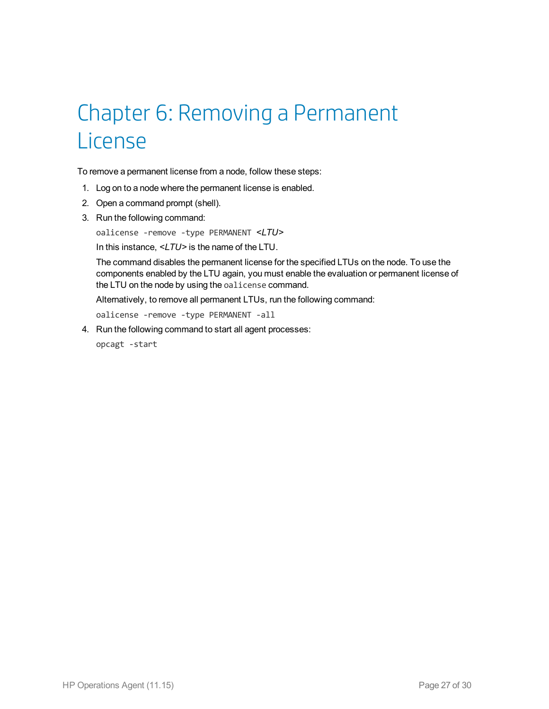## <span id="page-26-0"></span>Chapter 6: Removing a Permanent License

To remove a permanent license from a node, follow these steps:

- 1. Log on to a node where the permanent license is enabled.
- 2. Open a command prompt (shell).
- 3. Run the following command:

oalicense -remove -type PERMANENT *<LTU>*

In this instance, *<LTU>* is the name of the LTU.

The command disables the permanent license for the specified LTUs on the node. To use the components enabled by the LTU again, you must enable the evaluation or permanent license of the LTU on the node by using the oalicense command.

Alternatively, to remove all permanent LTUs, run the following command:

oalicense -remove -type PERMANENT -all

4. Run the following command to start all agent processes:

opcagt -start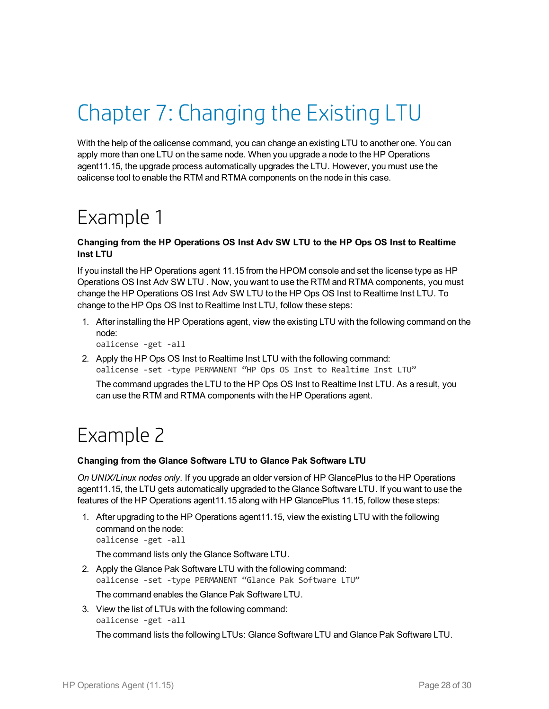# <span id="page-27-0"></span>Chapter 7: Changing the Existing LTU

With the help of the oalicense command, you can change an existing LTU to another one. You can apply more than one LTU on the same node. When you upgrade a node to the HP Operations agent11.15, the upgrade process automatically upgrades the LTU. However, you must use the oalicense tool to enable the RTM and RTMA components on the node in this case.

## <span id="page-27-1"></span>Example 1

### **Changing from the HP Operations OS Inst Adv SW LTU to the HP Ops OS Inst to Realtime Inst LTU**

If you install the HP Operations agent 11.15 from the HPOM console and set the license type as HP Operations OS Inst Adv SW LTU . Now, you want to use the RTM and RTMA components, you must change the HP Operations OS Inst Adv SW LTU to the HP Ops OS Inst to Realtime Inst LTU. To change to the HP Ops OS Inst to Realtime Inst LTU, follow these steps:

1. After installing the HP Operations agent, view the existing LTU with the following command on the node:

oalicense -get -all

2. Apply the HP Ops OS Inst to Realtime Inst LTU with the following command: oalicense -set -type PERMANENT "HP Ops OS Inst to Realtime Inst LTU"

<span id="page-27-2"></span>The command upgrades the LTU to the HP Ops OS Inst to Realtime Inst LTU. As a result, you can use the RTM and RTMA components with the HP Operations agent.

### Example 2

### **Changing from the Glance Software LTU to Glance Pak Software LTU**

*On UNIX/Linux nodes only.* If you upgrade an older version of HP GlancePlus to the HP Operations agent11.15, the LTU gets automatically upgraded to the Glance Software LTU. If you want to use the features of the HP Operations agent11.15 along with HP GlancePlus 11.15, follow these steps:

1. After upgrading to the HP Operations agent11.15, view the existing LTU with the following command on the node: oalicense -get -all

The command lists only the Glance Software LTU.

2. Apply the Glance Pak Software LTU with the following command: oalicense -set -type PERMANENT "Glance Pak Software LTU"

The command enables the Glance Pak Software LTU.

3. View the list of LTUs with the following command: oalicense -get -all

The command lists the following LTUs: Glance Software LTU and Glance Pak Software LTU.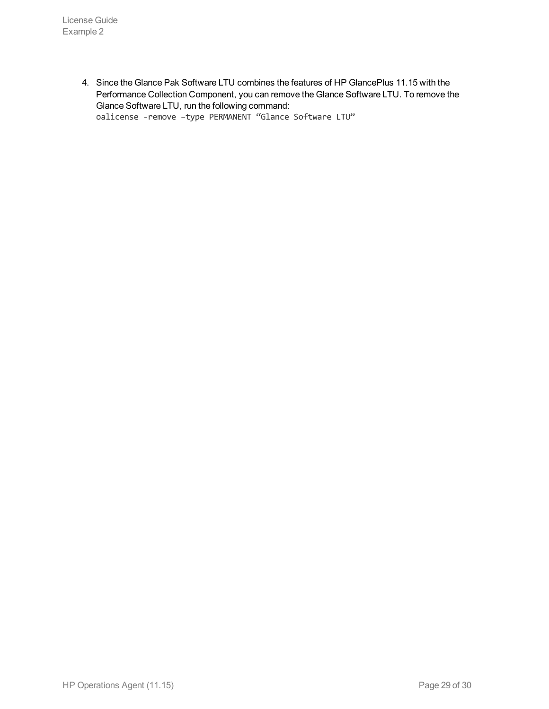4. Since the Glance Pak Software LTU combines the features of HP GlancePlus 11.15 with the Performance Collection Component, you can remove the Glance Software LTU. To remove the Glance Software LTU, run the following command: oalicense -remove –type PERMANENT "Glance Software LTU"

HP Operations Agent (11.15) CHE STATE CONTROLLER PAGE 29 of 30